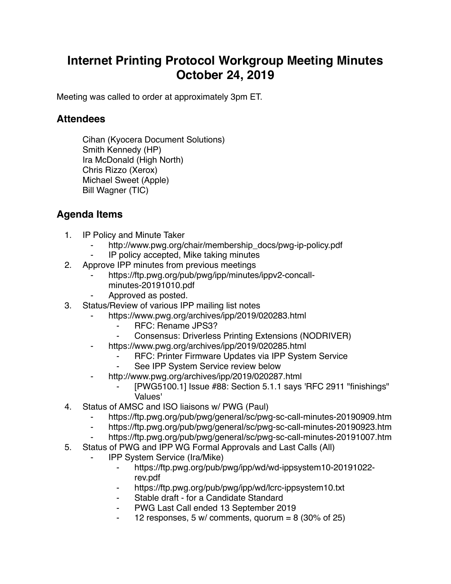## **Internet Printing Protocol Workgroup Meeting Minutes October 24, 2019**

Meeting was called to order at approximately 3pm ET.

## **Attendees**

Cihan (Kyocera Document Solutions) Smith Kennedy (HP) Ira McDonald (High North) Chris Rizzo (Xerox) Michael Sweet (Apple) Bill Wagner (TIC)

## **Agenda Items**

- 1. IP Policy and Minute Taker
	- http://www.pwg.org/chair/membership\_docs/pwg-ip-policy.pdf
	- IP policy accepted, Mike taking minutes
- 2. Approve IPP minutes from previous meetings
	- https://ftp.pwg.org/pub/pwg/ipp/minutes/ippv2-concallminutes-20191010.pdf
	- Approved as posted.
- 3. Status/Review of various IPP mailing list notes
	- https://www.pwg.org/archives/ipp/2019/020283.html
		- ⁃ RFC: Rename JPS3?
		- Consensus: Driverless Printing Extensions (NODRIVER)
	- https://www.pwg.org/archives/ipp/2019/020285.html
		- ⁃ RFC: Printer Firmware Updates via IPP System Service
		- See IPP System Service review below
		- http://www.pwg.org/archives/ipp/2019/020287.html
			- [PWG5100.1] Issue #88: Section 5.1.1 says 'RFC 2911 "finishings" Values'
- 4. Status of AMSC and ISO liaisons w/ PWG (Paul)
	- https://ftp.pwg.org/pub/pwg/general/sc/pwg-sc-call-minutes-20190909.htm
	- ⁃ https://ftp.pwg.org/pub/pwg/general/sc/pwg-sc-call-minutes-20190923.htm
	- ⁃ https://ftp.pwg.org/pub/pwg/general/sc/pwg-sc-call-minutes-20191007.htm
- 5. Status of PWG and IPP WG Formal Approvals and Last Calls (All)
	- ⁃ IPP System Service (Ira/Mike)
		- ⁃ https://ftp.pwg.org/pub/pwg/ipp/wd/wd-ippsystem10-20191022 rev.pdf
		- ⁃ https://ftp.pwg.org/pub/pwg/ipp/wd/lcrc-ippsystem10.txt
		- Stable draft for a Candidate Standard
		- PWG Last Call ended 13 September 2019
		- 12 responses, 5 w/ comments, quorum = 8 (30% of 25)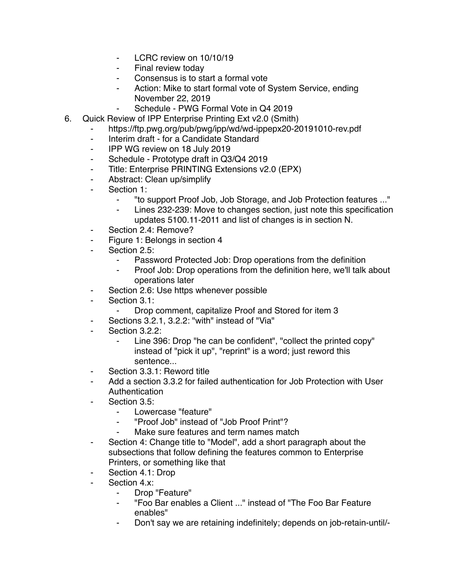- ⁃ LCRC review on 10/10/19
- Final review today
- Consensus is to start a formal vote
- Action: Mike to start formal vote of System Service, ending November 22, 2019
	- Schedule PWG Formal Vote in Q4 2019
- 6. Quick Review of IPP Enterprise Printing Ext v2.0 (Smith)
	- https://ftp.pwg.org/pub/pwg/ipp/wd/wd-ippepx20-20191010-rev.pdf
	- ⁃ Interim draft for a Candidate Standard
	- ⁃ IPP WG review on 18 July 2019
	- ⁃ Schedule Prototype draft in Q3/Q4 2019
	- ⁃ Title: Enterprise PRINTING Extensions v2.0 (EPX)
	- Abstract: Clean up/simplify
	- ⁃ Section 1:
		- ⁃ "to support Proof Job, Job Storage, and Job Protection features ..."
		- Lines 232-239: Move to changes section, just note this specification updates 5100.11-2011 and list of changes is in section N.
	- ⁃ Section 2.4: Remove?
	- ⁃ Figure 1: Belongs in section 4
	- Section 2.5:
		- ⁃ Password Protected Job: Drop operations from the definition
		- ⁃ Proof Job: Drop operations from the definition here, we'll talk about operations later
	- Section 2.6: Use https whenever possible
	- ⁃ Section 3.1:
		- Drop comment, capitalize Proof and Stored for item 3
	- Sections 3.2.1, 3.2.2: "with" instead of "Via"
	- Section 3.2.2:
		- Line 396: Drop "he can be confident", "collect the printed copy" instead of "pick it up", "reprint" is a word; just reword this sentence...
	- ⁃ Section 3.3.1: Reword title
	- Add a section 3.3.2 for failed authentication for Job Protection with User Authentication
	- Section 3.5:
		- Lowercase "feature"
		- ⁃ "Proof Job" instead of "Job Proof Print"?
		- Make sure features and term names match
	- ⁃ Section 4: Change title to "Model", add a short paragraph about the subsections that follow defining the features common to Enterprise Printers, or something like that
	- ⁃ Section 4.1: Drop
	- Section 4.x:
		- ⁃ Drop "Feature"
		- ⁃ "Foo Bar enables a Client ..." instead of "The Foo Bar Feature enables"
		- ⁃ Don't say we are retaining indefinitely; depends on job-retain-until/-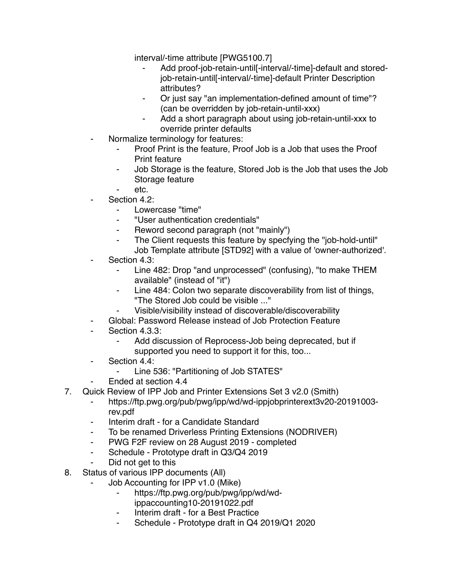interval/-time attribute [PWG5100.7]

- Add proof-job-retain-until[-interval/-time]-default and storedjob-retain-until[-interval/-time]-default Printer Description attributes?
- Or just say "an implementation-defined amount of time"? (can be overridden by job-retain-until-xxx)
- Add a short paragraph about using job-retain-until-xxx to override printer defaults
- Normalize terminology for features:
	- Proof Print is the feature, Proof Job is a Job that uses the Proof Print feature
	- ⁃ Job Storage is the feature, Stored Job is the Job that uses the Job Storage feature
	- etc.
- Section 4.2:
	- Lowercase "time"
	- ⁃ "User authentication credentials"
	- Reword second paragraph (not "mainly")
	- The Client requests this feature by specfying the "job-hold-until" Job Template attribute [STD92] with a value of 'owner-authorized'.
- Section 4.3:
	- ⁃ Line 482: Drop "and unprocessed" (confusing), "to make THEM available" (instead of "it")
	- Line 484: Colon two separate discoverability from list of things, "The Stored Job could be visible ..."
	- Visible/visibility instead of discoverable/discoverability
- Global: Password Release instead of Job Protection Feature
- Section 4.3.3:
	- Add discussion of Reprocess-Job being deprecated, but if supported you need to support it for this, too...
- ⁃ Section 4.4:
	- ⁃ Line 536: "Partitioning of Job STATES"
- ⁃ Ended at section 4.4
- 7. Quick Review of IPP Job and Printer Extensions Set 3 v2.0 (Smith)
	- ⁃ https://ftp.pwg.org/pub/pwg/ipp/wd/wd-ippjobprinterext3v20-20191003 rev.pdf
	- ⁃ Interim draft for a Candidate Standard
	- ⁃ To be renamed Driverless Printing Extensions (NODRIVER)
	- ⁃ PWG F2F review on 28 August 2019 completed
	- ⁃ Schedule Prototype draft in Q3/Q4 2019
	- Did not get to this
- 8. Status of various IPP documents (All)
	- Job Accounting for IPP v1.0 (Mike)
		- ⁃ https://ftp.pwg.org/pub/pwg/ipp/wd/wdippaccounting10-20191022.pdf
		- Interim draft for a Best Practice
		- Schedule Prototype draft in Q4 2019/Q1 2020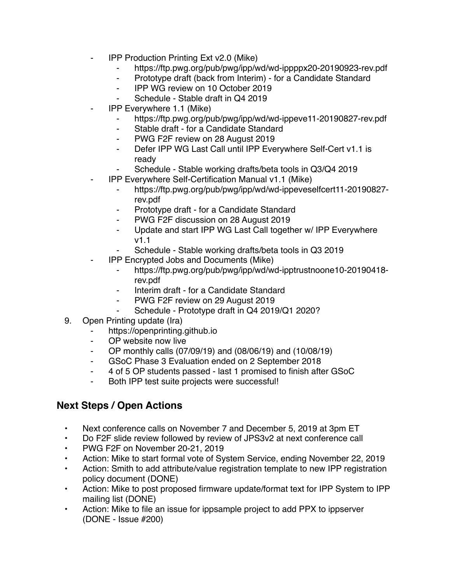- **IPP Production Printing Ext v2.0 (Mike)** 
	- ⁃ https://ftp.pwg.org/pub/pwg/ipp/wd/wd-ippppx20-20190923-rev.pdf
	- ⁃ Prototype draft (back from Interim) for a Candidate Standard
	- ⁃ IPP WG review on 10 October 2019
	- Schedule Stable draft in Q4 2019
- ⁃ IPP Everywhere 1.1 (Mike)
	- ⁃ https://ftp.pwg.org/pub/pwg/ipp/wd/wd-ippeve11-20190827-rev.pdf
	- ⁃ Stable draft for a Candidate Standard
	- ⁃ PWG F2F review on 28 August 2019
	- ⁃ Defer IPP WG Last Call until IPP Everywhere Self-Cert v1.1 is ready
	- Schedule Stable working drafts/beta tools in Q3/Q4 2019
	- ⁃ IPP Everywhere Self-Certification Manual v1.1 (Mike)
		- ⁃ https://ftp.pwg.org/pub/pwg/ipp/wd/wd-ippeveselfcert11-20190827 rev.pdf
		- ⁃ Prototype draft for a Candidate Standard
		- ⁃ PWG F2F discussion on 28 August 2019
		- ⁃ Update and start IPP WG Last Call together w/ IPP Everywhere v1.1
		- Schedule Stable working drafts/beta tools in Q3 2019
- **IPP Encrypted Jobs and Documents (Mike)** 
	- ⁃ https://ftp.pwg.org/pub/pwg/ipp/wd/wd-ipptrustnoone10-20190418 rev.pdf
	- Interim draft for a Candidate Standard
	- ⁃ PWG F2F review on 29 August 2019
	- Schedule Prototype draft in Q4 2019/Q1 2020?
- 9. Open Printing update (Ira)
	- https://openprinting.github.io
	- ⁃ OP website now live
	- ⁃ OP monthly calls (07/09/19) and (08/06/19) and (10/08/19)
	- ⁃ GSoC Phase 3 Evaluation ended on 2 September 2018
	- ⁃ 4 of 5 OP students passed last 1 promised to finish after GSoC
	- Both IPP test suite projects were successful!

## **Next Steps / Open Actions**

- Next conference calls on November 7 and December 5, 2019 at 3pm ET
- Do F2F slide review followed by review of JPS3v2 at next conference call
- PWG F2F on November 20-21, 2019
- Action: Mike to start formal vote of System Service, ending November 22, 2019
- Action: Smith to add attribute/value registration template to new IPP registration policy document (DONE)
- Action: Mike to post proposed firmware update/format text for IPP System to IPP mailing list (DONE)
- Action: Mike to file an issue for ippsample project to add PPX to ippserver (DONE - Issue #200)